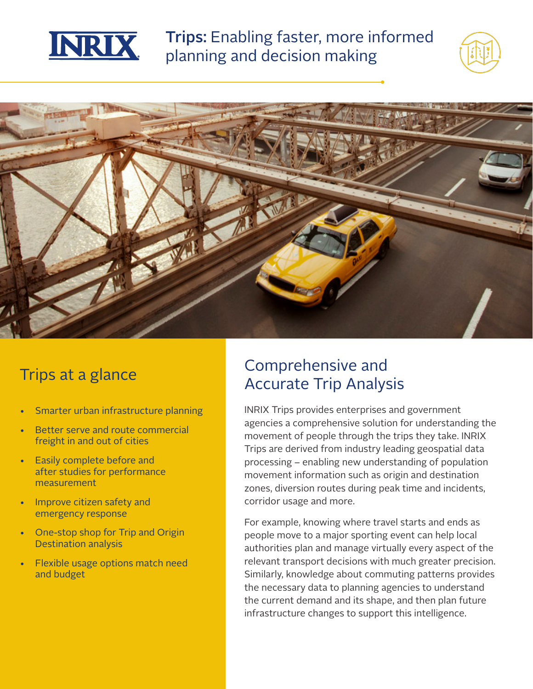

Trips: Enabling faster, more informed planning and decision making





## Trips at a glance

- Smarter urban infrastructure planning
- Better serve and route commercial freight in and out of cities
- Easily complete before and after studies for performance measurement
- Improve citizen safety and emergency response
- One-stop shop for Trip and Origin Destination analysis
- Flexible usage options match need and budget

## Comprehensive and Accurate Trip Analysis

INRIX Trips provides enterprises and government agencies a comprehensive solution for understanding the movement of people through the trips they take. INRIX Trips are derived from industry leading geospatial data processing – enabling new understanding of population movement information such as origin and destination zones, diversion routes during peak time and incidents, corridor usage and more.

For example, knowing where travel starts and ends as people move to a major sporting event can help local authorities plan and manage virtually every aspect of the relevant transport decisions with much greater precision. Similarly, knowledge about commuting patterns provides the necessary data to planning agencies to understand the current demand and its shape, and then plan future infrastructure changes to support this intelligence.